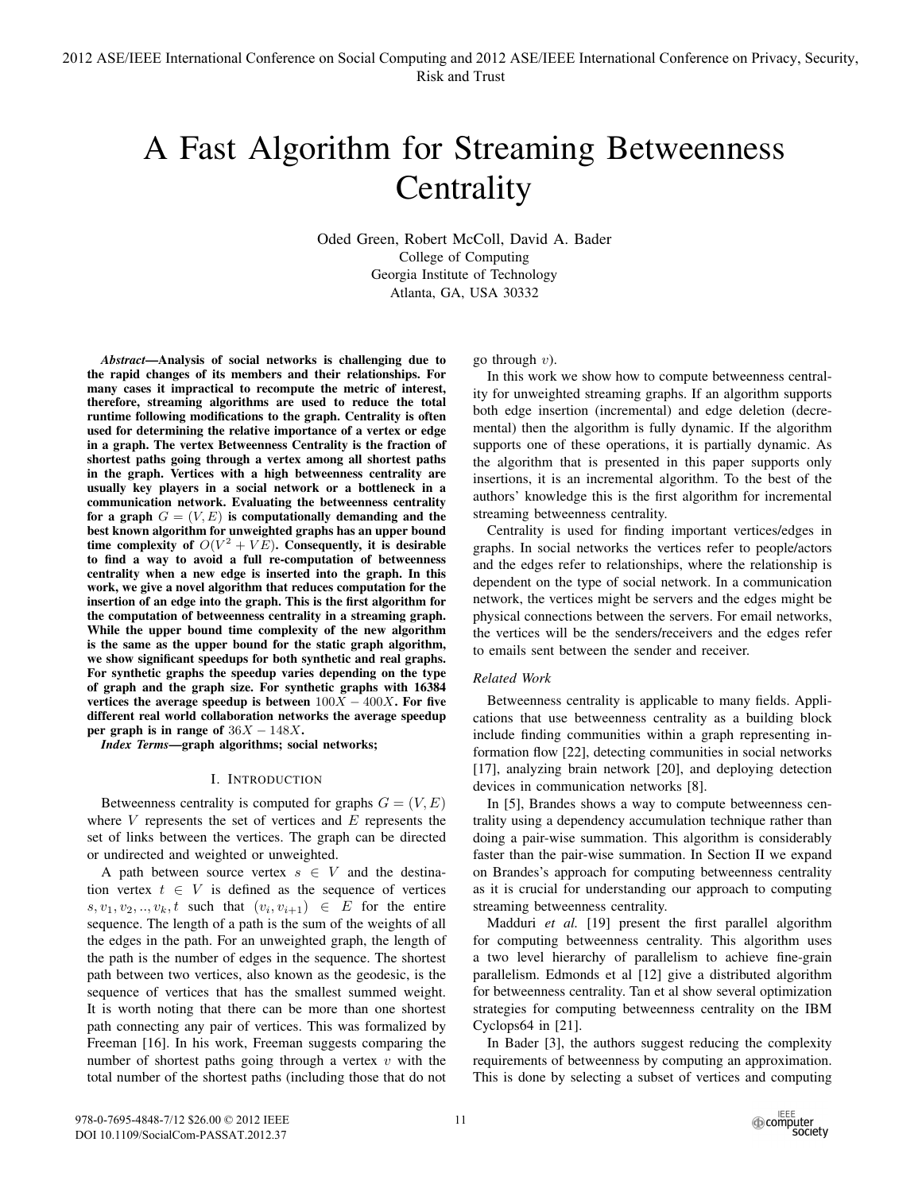# A Fast Algorithm for Streaming Betweenness **Centrality**

Oded Green, Robert McColl, David A. Bader College of Computing Georgia Institute of Technology Atlanta, GA, USA 30332

*Abstract*—Analysis of social networks is challenging due to the rapid changes of its members and their relationships. For many cases it impractical to recompute the metric of interest, therefore, streaming algorithms are used to reduce the total runtime following modifications to the graph. Centrality is often used for determining the relative importance of a vertex or edge in a graph. The vertex Betweenness Centrality is the fraction of shortest paths going through a vertex among all shortest paths in the graph. Vertices with a high betweenness centrality are usually key players in a social network or a bottleneck in a communication network. Evaluating the betweenness centrality for a graph  $G = (V, E)$  is computationally demanding and the best known algorithm for unweighted graphs has an upper bound time complexity of  $O(V^2 + V\tilde{E})$ . Consequently, it is desirable to find a way to avoid a full re-computation of betweenness centrality when a new edge is inserted into the graph. In this work, we give a novel algorithm that reduces computation for the insertion of an edge into the graph. This is the first algorithm for the computation of betweenness centrality in a streaming graph. While the upper bound time complexity of the new algorithm is the same as the upper bound for the static graph algorithm, we show significant speedups for both synthetic and real graphs. For synthetic graphs the speedup varies depending on the type of graph and the graph size. For synthetic graphs with 16384 vertices the average speedup is between  $100X - 400X$ . For five different real world collaboration networks the average speedup per graph is in range of  $36X - 148X$ .

*Index Terms*—graph algorithms; social networks;

## I. INTRODUCTION

Betweenness centrality is computed for graphs  $G = (V, E)$ where  $V$  represents the set of vertices and  $E$  represents the set of links between the vertices. The graph can be directed or undirected and weighted or unweighted.

A path between source vertex  $s \in V$  and the destination vertex  $t \in V$  is defined as the sequence of vertices  $s, v_1, v_2, \ldots, v_k, t$  such that  $(v_i, v_{i+1}) \in E$  for the entire sequence. The length of a path is the sum of the weights of all the edges in the path. For an unweighted graph, the length of the path is the number of edges in the sequence. The shortest path between two vertices, also known as the geodesic, is the sequence of vertices that has the smallest summed weight. It is worth noting that there can be more than one shortest path connecting any pair of vertices. This was formalized by Freeman [16]. In his work, Freeman suggests comparing the number of shortest paths going through a vertex  $v$  with the total number of the shortest paths (including those that do not go through  $v$ ).

In this work we show how to compute betweenness centrality for unweighted streaming graphs. If an algorithm supports both edge insertion (incremental) and edge deletion (decremental) then the algorithm is fully dynamic. If the algorithm supports one of these operations, it is partially dynamic. As the algorithm that is presented in this paper supports only insertions, it is an incremental algorithm. To the best of the authors' knowledge this is the first algorithm for incremental streaming betweenness centrality.

Centrality is used for finding important vertices/edges in graphs. In social networks the vertices refer to people/actors and the edges refer to relationships, where the relationship is dependent on the type of social network. In a communication network, the vertices might be servers and the edges might be physical connections between the servers. For email networks, the vertices will be the senders/receivers and the edges refer to emails sent between the sender and receiver.

# *Related Work*

Betweenness centrality is applicable to many fields. Applications that use betweenness centrality as a building block include finding communities within a graph representing information flow [22], detecting communities in social networks [17], analyzing brain network [20], and deploying detection devices in communication networks [8].

In [5], Brandes shows a way to compute betweenness centrality using a dependency accumulation technique rather than doing a pair-wise summation. This algorithm is considerably faster than the pair-wise summation. In Section II we expand on Brandes's approach for computing betweenness centrality as it is crucial for understanding our approach to computing streaming betweenness centrality.

Madduri *et al.* [19] present the first parallel algorithm for computing betweenness centrality. This algorithm uses a two level hierarchy of parallelism to achieve fine-grain parallelism. Edmonds et al [12] give a distributed algorithm for betweenness centrality. Tan et al show several optimization strategies for computing betweenness centrality on the IBM Cyclops64 in [21].

In Bader [3], the authors suggest reducing the complexity requirements of betweenness by computing an approximation. This is done by selecting a subset of vertices and computing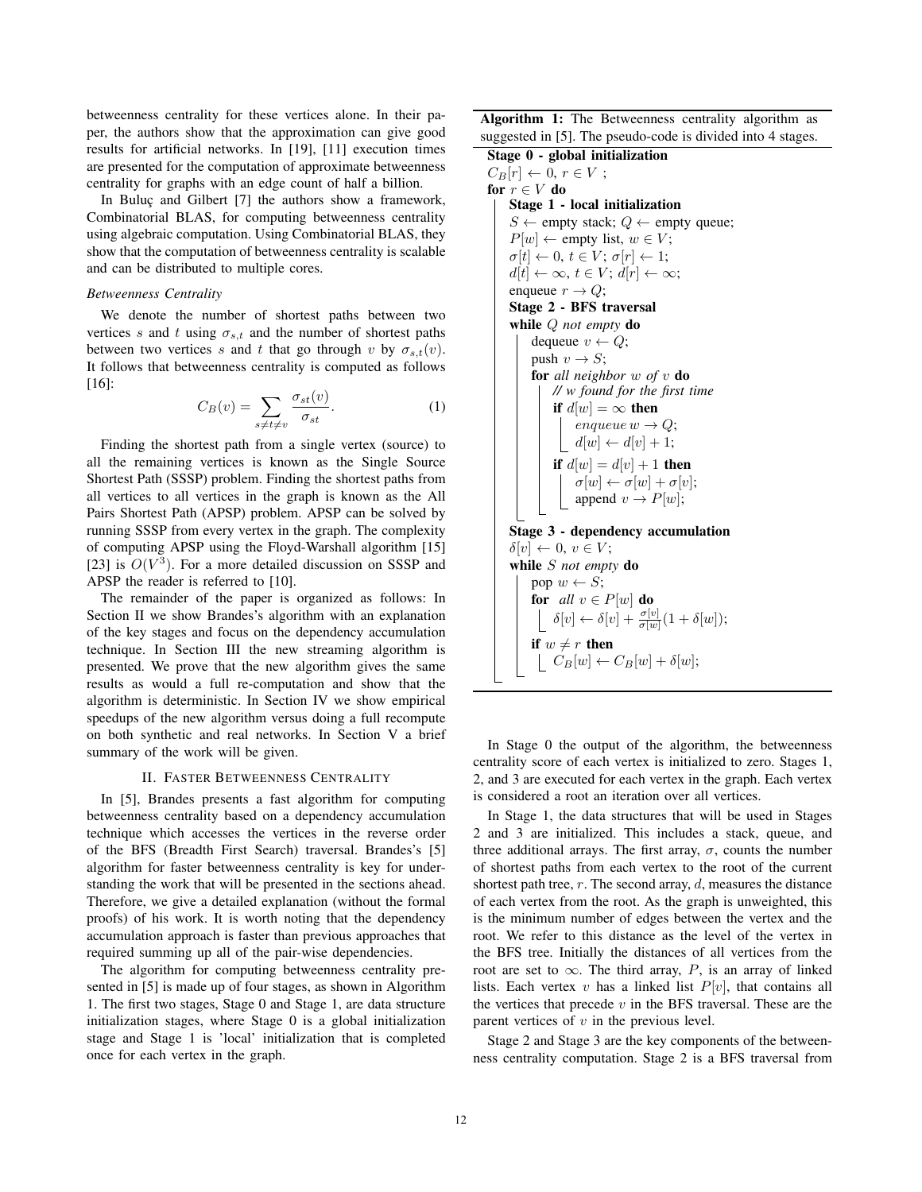betweenness centrality for these vertices alone. In their paper, the authors show that the approximation can give good results for artificial networks. In [19], [11] execution times are presented for the computation of approximate betweenness centrality for graphs with an edge count of half a billion.

In Buluç and Gilbert [7] the authors show a framework, Combinatorial BLAS, for computing betweenness centrality using algebraic computation. Using Combinatorial BLAS, they show that the computation of betweenness centrality is scalable and can be distributed to multiple cores.

## *Betweenness Centrality*

We denote the number of shortest paths between two vertices s and t using  $\sigma_{s,t}$  and the number of shortest paths between two vertices s and t that go through v by  $\sigma_{s,t}(v)$ . It follows that betweenness centrality is computed as follows [16]:

$$
C_B(v) = \sum_{s \neq t \neq v} \frac{\sigma_{st}(v)}{\sigma_{st}}.
$$
 (1)

Finding the shortest path from a single vertex (source) to all the remaining vertices is known as the Single Source Shortest Path (SSSP) problem. Finding the shortest paths from all vertices to all vertices in the graph is known as the All Pairs Shortest Path (APSP) problem. APSP can be solved by running SSSP from every vertex in the graph. The complexity of computing APSP using the Floyd-Warshall algorithm [15] [23] is  $O(V^3)$ . For a more detailed discussion on SSSP and APSP the reader is referred to [10].

The remainder of the paper is organized as follows: In Section II we show Brandes's algorithm with an explanation of the key stages and focus on the dependency accumulation technique. In Section III the new streaming algorithm is presented. We prove that the new algorithm gives the same results as would a full re-computation and show that the algorithm is deterministic. In Section IV we show empirical speedups of the new algorithm versus doing a full recompute on both synthetic and real networks. In Section V a brief summary of the work will be given.

## II. FASTER BETWEENNESS CENTRALITY

In [5], Brandes presents a fast algorithm for computing betweenness centrality based on a dependency accumulation technique which accesses the vertices in the reverse order of the BFS (Breadth First Search) traversal. Brandes's [5] algorithm for faster betweenness centrality is key for understanding the work that will be presented in the sections ahead. Therefore, we give a detailed explanation (without the formal proofs) of his work. It is worth noting that the dependency accumulation approach is faster than previous approaches that required summing up all of the pair-wise dependencies.

The algorithm for computing betweenness centrality presented in [5] is made up of four stages, as shown in Algorithm 1. The first two stages, Stage 0 and Stage 1, are data structure initialization stages, where Stage 0 is a global initialization stage and Stage 1 is 'local' initialization that is completed once for each vertex in the graph.

Algorithm 1: The Betweenness centrality algorithm as suggested in [5]. The pseudo-code is divided into 4 stages.

Stage 0 - global initialization  $C_B[r] \leftarrow 0, r \in V;$ for  $r \in V$  do Stage 1 - local initialization  $S \leftarrow$  empty stack;  $Q \leftarrow$  empty queue;  $P[w] \leftarrow \text{empty list}, w \in V;$  $\sigma[t] \leftarrow 0, t \in V; \sigma[r] \leftarrow 1;$  $d[t] \leftarrow \infty, t \in V; d[r] \leftarrow \infty;$ enqueue  $r \to Q$ ; Stage 2 - BFS traversal while Q *not empty* do dequeue  $v \leftarrow Q$ ; push  $v \rightarrow S$ ; for *all neighbor* w *of* v do *// w found for the first time* if  $d[w] = \infty$  then enqueue  $w \to Q$ ;  $d[w] \leftarrow d[v] + 1;$ if  $d[w] = d[v] + 1$  then  $\sigma[w] \leftarrow \sigma[w] + \sigma[v];$ append  $v \to P[w]$ ; Stage 3 - dependency accumulation  $\delta[v] \leftarrow 0, v \in V;$ while S *not empty* do

pop  $w \leftarrow S$ ; **for** *all*  $v \in P[w]$  **do**  $\delta[v] \leftarrow \delta[v] + \frac{\sigma[v]}{\sigma[w]}(1+\delta[w]);$ if  $w \neq r$  then  $C_B[w] \leftarrow C_B[w] + \delta[w];$ 

In Stage 0 the output of the algorithm, the betweenness centrality score of each vertex is initialized to zero. Stages 1, 2, and 3 are executed for each vertex in the graph. Each vertex is considered a root an iteration over all vertices.

In Stage 1, the data structures that will be used in Stages 2 and 3 are initialized. This includes a stack, queue, and three additional arrays. The first array,  $\sigma$ , counts the number of shortest paths from each vertex to the root of the current shortest path tree,  $r$ . The second array,  $d$ , measures the distance of each vertex from the root. As the graph is unweighted, this is the minimum number of edges between the vertex and the root. We refer to this distance as the level of the vertex in the BFS tree. Initially the distances of all vertices from the root are set to  $\infty$ . The third array, P, is an array of linked lists. Each vertex v has a linked list  $P[v]$ , that contains all the vertices that precede  $v$  in the BFS traversal. These are the parent vertices of  $v$  in the previous level.

Stage 2 and Stage 3 are the key components of the betweenness centrality computation. Stage 2 is a BFS traversal from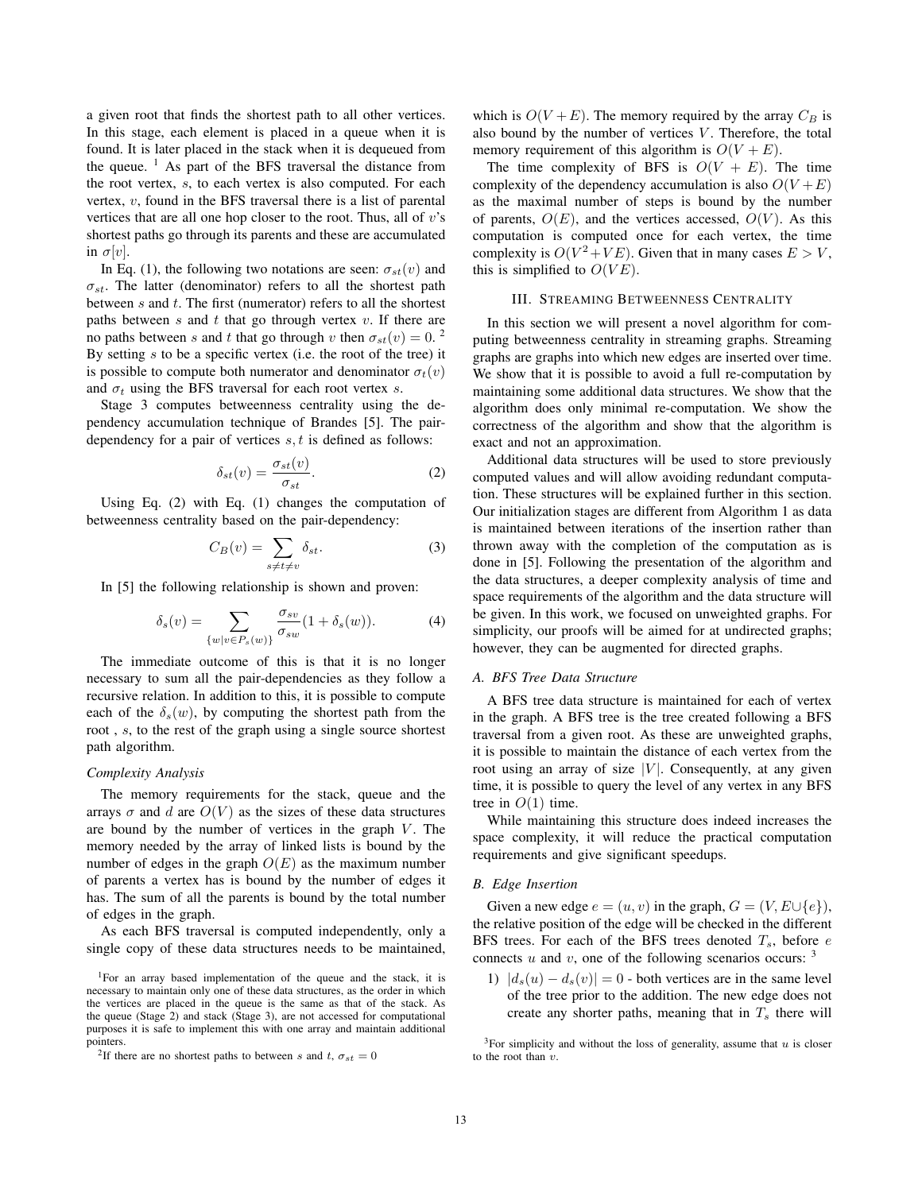a given root that finds the shortest path to all other vertices. In this stage, each element is placed in a queue when it is found. It is later placed in the stack when it is dequeued from the queue.  $\frac{1}{1}$  As part of the BFS traversal the distance from the root vertex, s, to each vertex is also computed. For each vertex,  $v$ , found in the BFS traversal there is a list of parental vertices that are all one hop closer to the root. Thus, all of  $v$ 's shortest paths go through its parents and these are accumulated in  $\sigma[v]$ .

In Eq. (1), the following two notations are seen:  $\sigma_{st}(v)$  and  $\sigma_{st}$ . The latter (denominator) refers to all the shortest path<br>between a and t. The first (numerator) refers to all the shortest between  $s$  and  $t$ . The first (numerator) refers to all the shortest paths between  $s$  and  $t$  that go through vertex  $v$ . If there are no paths between s and t that go through v then  $\sigma_{st}(v)=0$ . <sup>2</sup> By setting  $s$  to be a specific vertex (i.e. the root of the tree) it is possible to compute both numerator and denominator  $\sigma_t(v)$ and  $\sigma_t$  using the BFS traversal for each root vertex s.

Stage 3 computes betweenness centrality using the dependency accumulation technique of Brandes [5]. The pairdependency for a pair of vertices  $s, t$  is defined as follows:

$$
\delta_{st}(v) = \frac{\sigma_{st}(v)}{\sigma_{st}}.\tag{2}
$$

Using Eq. (2) with Eq. (1) changes the computation of betweenness centrality based on the pair-dependency:

$$
C_B(v) = \sum_{s \neq t \neq v} \delta_{st}.
$$
 (3)

In [5] the following relationship is shown and proven:

$$
\delta_s(v) = \sum_{\{w|v \in P_s(w)\}} \frac{\sigma_{sv}}{\sigma_{sw}} (1 + \delta_s(w)). \tag{4}
$$

The immediate outcome of this is that it is no longer necessary to sum all the pair-dependencies as they follow a recursive relation. In addition to this, it is possible to compute each of the  $\delta_s(w)$ , by computing the shortest path from the root , s, to the rest of the graph using a single source shortest path algorithm.

#### *Complexity Analysis*

The memory requirements for the stack, queue and the arrays  $\sigma$  and d are  $O(V)$  as the sizes of these data structures are bound by the number of vertices in the graph  $V$ . The memory needed by the array of linked lists is bound by the number of edges in the graph  $O(E)$  as the maximum number of parents a vertex has is bound by the number of edges it has. The sum of all the parents is bound by the total number of edges in the graph.

As each BFS traversal is computed independently, only a single copy of these data structures needs to be maintained,

which is  $O(V + E)$ . The memory required by the array  $C_B$  is also bound by the number of vertices  $V$ . Therefore, the total memory requirement of this algorithm is  $O(V + E)$ .

The time complexity of BFS is  $O(V + E)$ . The time complexity of the dependency accumulation is also  $O(V + E)$ as the maximal number of steps is bound by the number of parents,  $O(E)$ , and the vertices accessed,  $O(V)$ . As this computation is computed once for each vertex, the time complexity is  $O(V^2+VE)$ . Given that in many cases  $E>V$ , this is simplified to  $O(VE)$ .

# III. STREAMING BETWEENNESS CENTRALITY

In this section we will present a novel algorithm for computing betweenness centrality in streaming graphs. Streaming graphs are graphs into which new edges are inserted over time. We show that it is possible to avoid a full re-computation by maintaining some additional data structures. We show that the algorithm does only minimal re-computation. We show the correctness of the algorithm and show that the algorithm is exact and not an approximation.

Additional data structures will be used to store previously computed values and will allow avoiding redundant computation. These structures will be explained further in this section. Our initialization stages are different from Algorithm 1 as data is maintained between iterations of the insertion rather than thrown away with the completion of the computation as is done in [5]. Following the presentation of the algorithm and the data structures, a deeper complexity analysis of time and space requirements of the algorithm and the data structure will be given. In this work, we focused on unweighted graphs. For simplicity, our proofs will be aimed for at undirected graphs; however, they can be augmented for directed graphs.

# *A. BFS Tree Data Structure*

A BFS tree data structure is maintained for each of vertex in the graph. A BFS tree is the tree created following a BFS traversal from a given root. As these are unweighted graphs, it is possible to maintain the distance of each vertex from the root using an array of size  $|V|$ . Consequently, at any given time, it is possible to query the level of any vertex in any BFS tree in  $O(1)$  time.

While maintaining this structure does indeed increases the space complexity, it will reduce the practical computation requirements and give significant speedups.

#### *B. Edge Insertion*

Given a new edge  $e = (u, v)$  in the graph,  $G = (V, E \cup \{e\})$ , the relative position of the edge will be checked in the different BFS trees. For each of the BFS trees denoted  $T_s$ , before  $e$ connects u and v, one of the following scenarios occurs:  $3$ 

1)  $|d_s(u) - d_s(v)| = 0$  - both vertices are in the same level of the tree prior to the addition. The new edge does not create any shorter paths, meaning that in  $T<sub>s</sub>$  there will

<sup>&</sup>lt;sup>1</sup>For an array based implementation of the queue and the stack, it is necessary to maintain only one of these data structures, as the order in which the vertices are placed in the queue is the same as that of the stack. As the queue (Stage 2) and stack (Stage 3), are not accessed for computational purposes it is safe to implement this with one array and maintain additional pointers.

<sup>&</sup>lt;sup>2</sup>If there are no shortest paths to between s and t,  $\sigma_{st} = 0$ 

<sup>&</sup>lt;sup>3</sup>For simplicity and without the loss of generality, assume that  $u$  is closer to the root than  $v$ .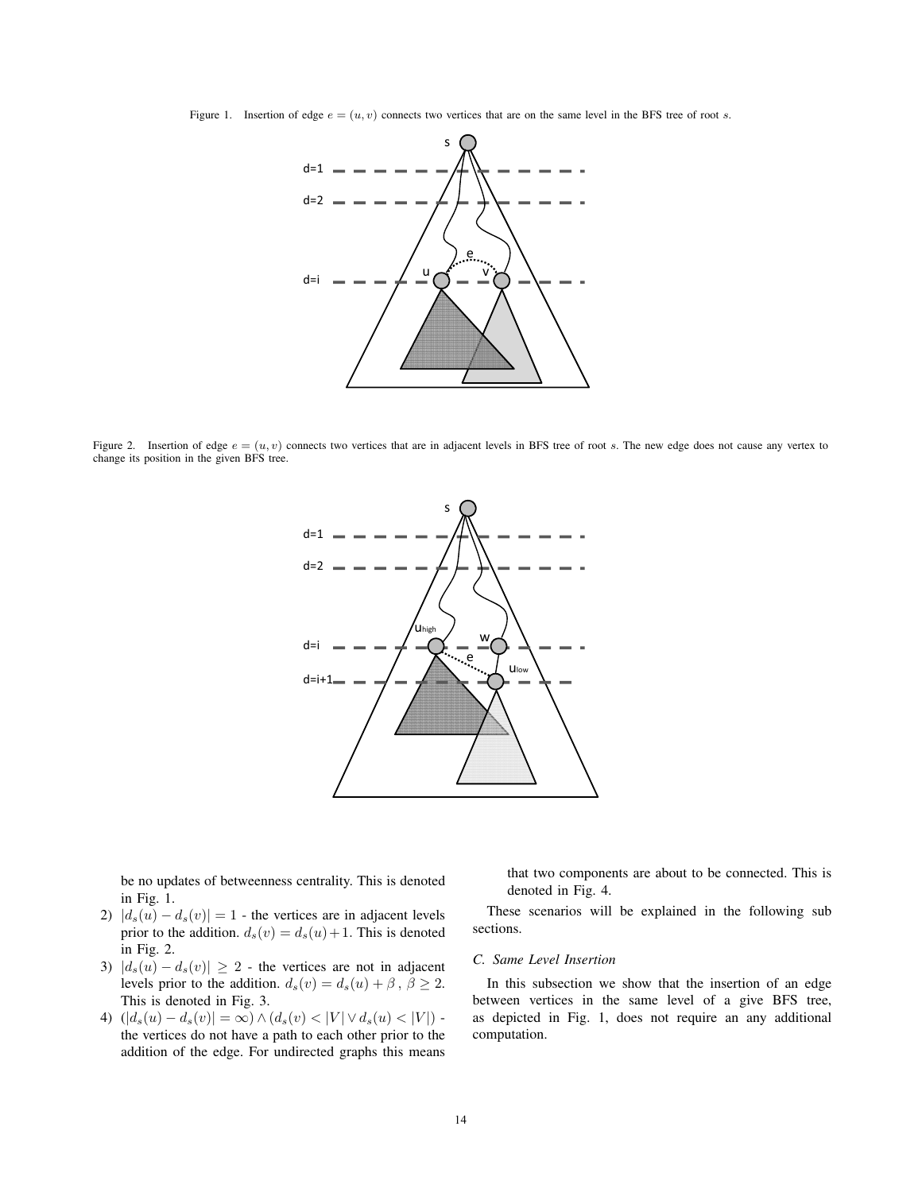Figure 1. Insertion of edge  $e = (u, v)$  connects two vertices that are on the same level in the BFS tree of root s.



Figure 2. Insertion of edge  $e = (u, v)$  connects two vertices that are in adjacent levels in BFS tree of root s. The new edge does not cause any vertex to change its position in the given BFS tree.



be no updates of betweenness centrality. This is denoted in Fig. 1.

- 2)  $|d_s(u) d_s(v)| = 1$  the vertices are in adjacent levels prior to the addition.  $d_s(v) = d_s(u) + 1$ . This is denoted in Fig. 2.
- 3)  $|d_s(u) d_s(v)| \geq 2$  the vertices are not in adjacent levels prior to the addition.  $d_s(v) = d_s(u) + \beta$ ,  $\beta \ge 2$ . This is denoted in Fig. 3.
- 4)  $(|d_s(u) d_s(v)| = \infty) \wedge (d_s(v) < |V| \vee d_s(u) < |V|)$  the vertices do not have a path to each other prior to the addition of the edge. For undirected graphs this means

that two components are about to be connected. This is denoted in Fig. 4.

These scenarios will be explained in the following sub sections.

# *C. Same Level Insertion*

In this subsection we show that the insertion of an edge between vertices in the same level of a give BFS tree, as depicted in Fig. 1, does not require an any additional computation.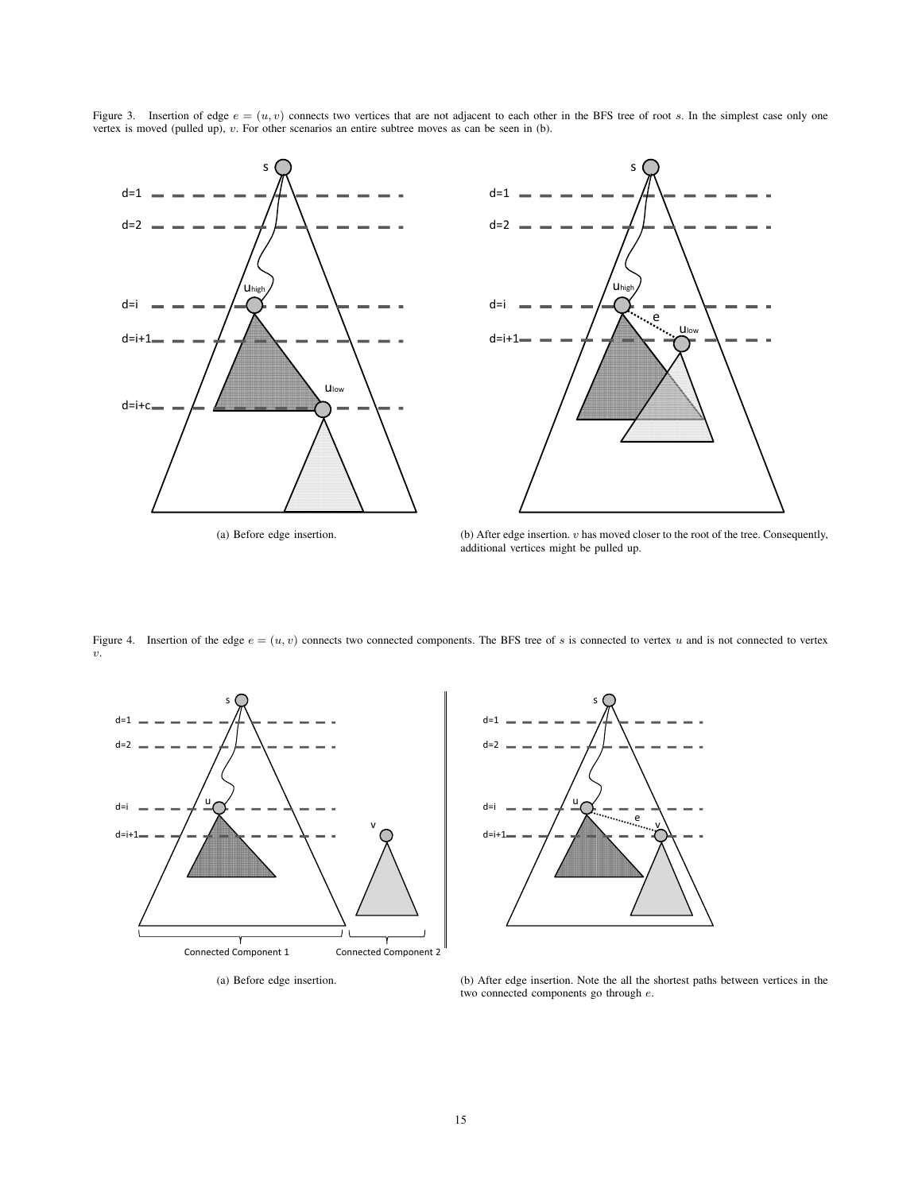Figure 3. Insertion of edge  $e = (u, v)$  connects two vertices that are not adjacent to each other in the BFS tree of root s. In the simplest case only one vertex is moved (pulled up),  $v$ . For other scenarios an entire subtree moves as can be seen in (b).



(a) Before edge insertion.



(b) After edge insertion.  $v$  has moved closer to the root of the tree. Consequently, additional vertices might be pulled up.

Figure 4. Insertion of the edge  $e = (u, v)$  connects two connected components. The BFS tree of s is connected to vertex u and is not connected to vertex  $v$ .



(a) Before edge insertion.



(b) After edge insertion. Note the all the shortest paths between vertices in the two connected components go through e.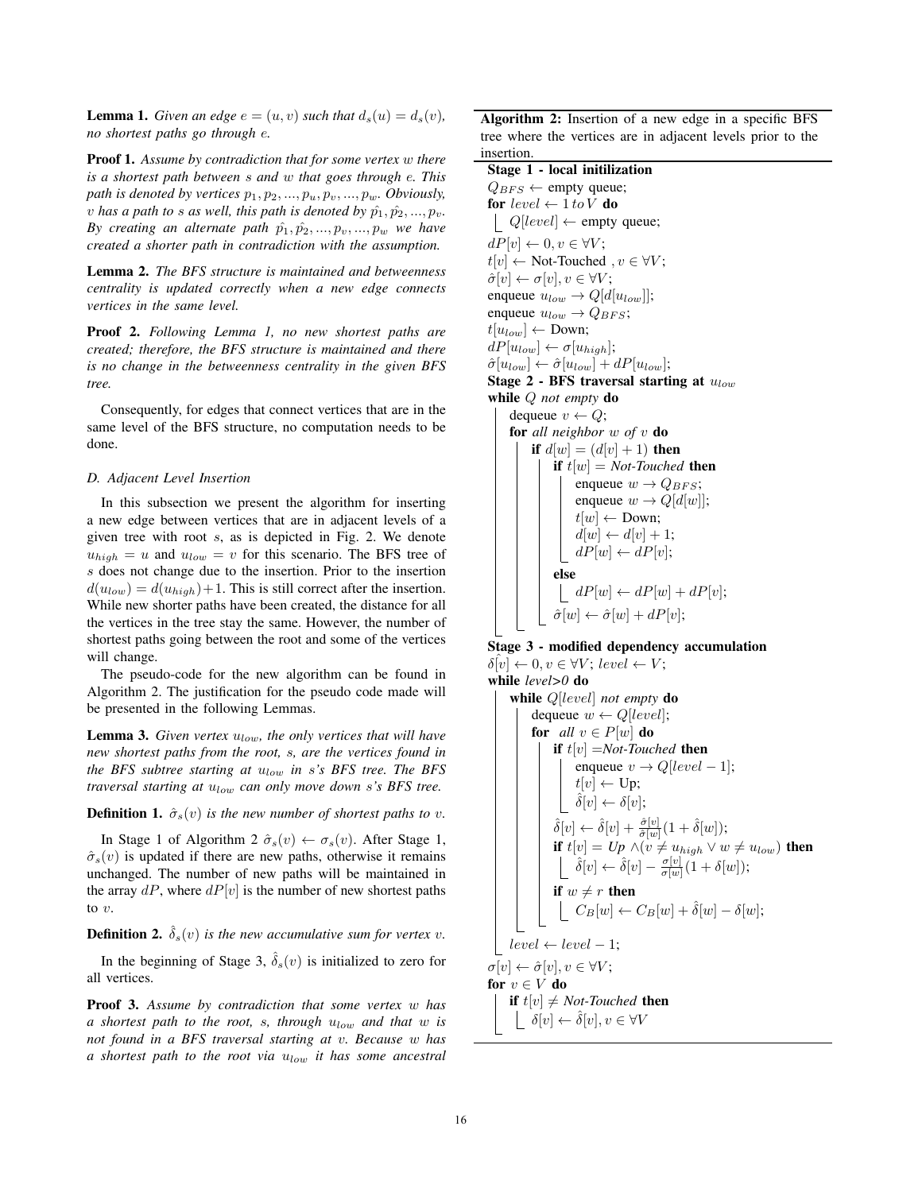**Lemma 1.** *Given an edge*  $e = (u, v)$  *such that*  $d_s(u) = d_s(v)$ *, no shortest paths go through* e*.*

Proof 1. *Assume by contradiction that for some vertex* w *there is a shortest path between* s *and* w *that goes through* e*. This path is denoted by vertices*  $p_1, p_2, ..., p_u, p_v, ..., p_w$ *. Obviously,* v has a path to s as well, this path is denoted by  $\hat{p}_1, \hat{p}_2, ..., p_v$ . *By creating an alternate path*  $\hat{p}_1, \hat{p}_2, ..., p_v, ..., p_w$  *we have created a shorter path in contradiction with the assumption.*

Lemma 2. *The BFS structure is maintained and betweenness centrality is updated correctly when a new edge connects vertices in the same level.*

Proof 2. *Following Lemma 1, no new shortest paths are created; therefore, the BFS structure is maintained and there is no change in the betweenness centrality in the given BFS tree.*

Consequently, for edges that connect vertices that are in the same level of the BFS structure, no computation needs to be done.

#### *D. Adjacent Level Insertion*

In this subsection we present the algorithm for inserting a new edge between vertices that are in adjacent levels of a given tree with root s, as is depicted in Fig. 2. We denote  $u_{high} = u$  and  $u_{low} = v$  for this scenario. The BFS tree of s does not change due to the insertion. Prior to the insertion  $d(u_{low}) = d(u_{high}) + 1$ . This is still correct after the insertion. While new shorter paths have been created, the distance for all the vertices in the tree stay the same. However, the number of shortest paths going between the root and some of the vertices will change.

The pseudo-code for the new algorithm can be found in Algorithm 2. The justification for the pseudo code made will be presented in the following Lemmas.

**Lemma 3.** *Given vertex*  $u_{low}$ *, the only vertices that will have new shortest paths from the root,* s*, are the vertices found in the BFS subtree starting at*  $u_{low}$  *in s's BFS tree. The BFS traversal starting at*  $u_{low}$  *can only move down s's BFS tree.* 

**Definition 1.**  $\hat{\sigma}_s(v)$  *is the new number of shortest paths to v.* 

In Stage 1 of Algorithm 2  $\hat{\sigma}_s(v) \leftarrow \sigma_s(v)$ . After Stage 1,  $\hat{\sigma}_s(v)$  is updated if there are new paths, otherwise it remains unchanged. The number of new paths will be maintained in the array  $dP$ , where  $dP[v]$  is the number of new shortest paths to v.

**Definition 2.**  $\hat{\delta}_s(v)$  *is the new accumulative sum for vertex v.* 

In the beginning of Stage 3,  $\hat{\delta}_s(v)$  is initialized to zero for all vertices.

Proof 3. *Assume by contradiction that some vertex* w *has a shortest path to the root, s, through*  $u_{low}$  *and that* w *is not found in a BFS traversal starting at* v*. Because* w *has a shortest path to the root via*  $u_{low}$  *it has some ancestral*  Algorithm 2: Insertion of a new edge in a specific BFS tree where the vertices are in adjacent levels prior to the insertion.

Stage 1 - local initilization  $Q_{BFS} \leftarrow$  empty queue;<br>for level  $\ell$ , 1 to  $V$  de for  $level \leftarrow 1\,to V$ do  $|Q[level] \leftarrow$  empty queue;  $dP[v] \leftarrow 0, v \in \forall V;$  $t[v] \leftarrow$  Not-Touched,  $v \in \forall V$ ;  $\hat{\sigma}[v] \leftarrow \sigma[v], v \in \forall V;$ enqueue  $u_{low} \rightarrow Q[d[u_{low}]]$ ; enqueue  $u_{low} \rightarrow Q_{BFS}$ ;  $t[u_{low}] \leftarrow$  Down;  $dP[u_{low}] \leftarrow \sigma[u_{high}];$  $\hat{\sigma}[u_{low}] \leftarrow \hat{\sigma}[u_{low}] + dP[u_{low}];$ Stage 2 - BFS traversal starting at  $u_{low}$ while Q *not empty* do dequeue  $v \leftarrow Q$ ; for *all neighbor* w *of* v do if  $d[w] = (d[v] + 1)$  then if  $t[w] = Not-Touched$  then enqueue  $w \rightarrow Q_{BFS}$ ; enqueue  $w \to Q[d[w]]$ ;  $t[w] \leftarrow$  Down;  $d[w] \leftarrow d[v] + 1;$  $dP[w] \leftarrow dP[v]$ ; else  $\left| dP[w] \leftarrow dP[w] + dP[v];$  $\hat{\sigma}[w] \leftarrow \hat{\sigma}[w] + dP[v];$ 

Stage 3 - modified dependency accumulation  $\delta[v] \leftarrow 0, v \in \forall V$ ; level  $\leftarrow V$ ;

$$
\delta[v] \leftarrow 0, v \in \forall V; level \leftarrow V;
$$
\nwhile *level* > 0 do\nwhile *Q*[level] not empty do\n dequeue  $w \leftarrow Q$ [level];\n for all  $v \in P[w]$  do\n if  $t[v] = Not-Touched$  then\n enqueue  $v \rightarrow Q$ [level - 1];\n  $t[v] \leftarrow Up;$ \n
$$
\hat{\delta}[v] \leftarrow \hat{\delta}[v] \leftarrow \hat{\delta}[v];
$$
\n
$$
\hat{\delta}[v] \leftarrow \hat{\delta}[v] + \frac{\hat{\sigma}[v]}{\hat{\sigma}[w]}(1 + \hat{\delta}[w]);
$$
\n if  $t[v] = Up \land (v \neq u_{high} \lor w \neq u_{low})$  then\n 
$$
\hat{\delta}[v] \leftarrow \hat{\delta}[v] - \frac{\sigma[v]}{\sigma[w]}(1 + \delta[w]);
$$
\n if  $w \neq r$  then\n 
$$
\hat{\delta}[v] \leftarrow \hat{\delta}[w] \leftarrow C_B[w] + \hat{\delta}[w] - \delta[w];
$$
\n level  $\leftarrow level - 1;$ \n
$$
\sigma[v] \leftarrow \hat{\sigma}[v], v \in \forall V;
$$
\nfor  $v \in V$  do\n if  $t[v] \neq Not-Touched$  then\n 
$$
\hat{\delta}[v] \leftarrow \hat{\delta}[v], v \in \forall V
$$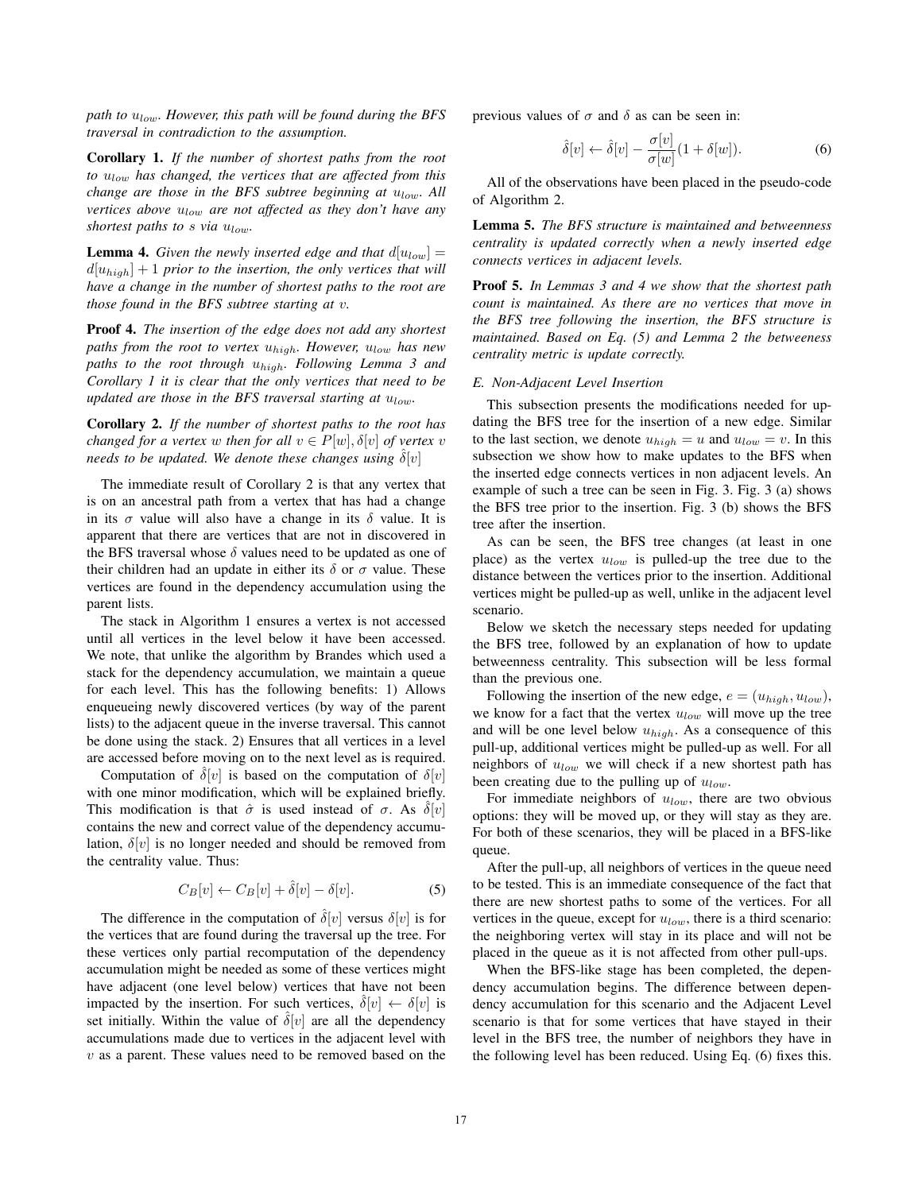*path to*  $u_{low}$ *. However, this path will be found during the BFS traversal in contradiction to the assumption.*

Corollary 1. *If the number of shortest paths from the root to* <sup>u</sup>low *has changed, the vertices that are affected from this change are those in the BFS subtree beginning at*  $u_{low}$ *. All vertices above*  $u_{low}$  *are not affected as they don't have any shortest paths to s via*  $u_{low}$ *.* 

**Lemma 4.** *Given the newly inserted edge and that*  $d[u_{low}] =$  $d[u_{high}] + 1$  *prior to the insertion, the only vertices that will have a change in the number of shortest paths to the root are those found in the BFS subtree starting at* v*.*

Proof 4. *The insertion of the edge does not add any shortest paths from the root to vertex* <sup>u</sup>high*. However,* <sup>u</sup>low *has new paths to the root through* <sup>u</sup>high*. Following Lemma 3 and Corollary 1 it is clear that the only vertices that need to be updated are those in the BFS traversal starting at*  $u_{low}$ *.* 

Corollary 2. *If the number of shortest paths to the root has changed for a vertex* w *then for all*  $v \in P[w], \delta[v]$  *of vertex* v *needs to be updated. We denote these changes using*  $\hat{\delta}[v]$ 

The immediate result of Corollary 2 is that any vertex that is on an ancestral path from a vertex that has had a change in its  $\sigma$  value will also have a change in its  $\delta$  value. It is apparent that there are vertices that are not in discovered in the BFS traversal whose  $\delta$  values need to be updated as one of their children had an update in either its  $\delta$  or  $\sigma$  value. These vertices are found in the dependency accumulation using the parent lists.

The stack in Algorithm 1 ensures a vertex is not accessed until all vertices in the level below it have been accessed. We note, that unlike the algorithm by Brandes which used a stack for the dependency accumulation, we maintain a queue for each level. This has the following benefits: 1) Allows enqueueing newly discovered vertices (by way of the parent lists) to the adjacent queue in the inverse traversal. This cannot be done using the stack. 2) Ensures that all vertices in a level are accessed before moving on to the next level as is required.

Computation of  $\delta[v]$  is based on the computation of  $\delta[v]$ with one minor modification, which will be explained briefly. This modification is that  $\hat{\sigma}$  is used instead of  $\sigma$ . As  $\delta[v]$ contains the new and correct value of the dependency accumulation,  $\delta[v]$  is no longer needed and should be removed from the centrality value. Thus:

$$
C_B[v] \leftarrow C_B[v] + \hat{\delta}[v] - \delta[v]. \tag{5}
$$

The difference in the computation of  $\hat{\delta}[v]$  versus  $\delta[v]$  is for the vertices that are found during the traversal up the tree. For these vertices only partial recomputation of the dependency accumulation might be needed as some of these vertices might have adjacent (one level below) vertices that have not been impacted by the insertion. For such vertices,  $\delta[v] \leftarrow \delta[v]$  is set initially. Within the value of  $\delta[v]$  are all the dependency accumulations made due to vertices in the adjacent level with v as a parent. These values need to be removed based on the

previous values of  $\sigma$  and  $\delta$  as can be seen in:

$$
\hat{\delta}[v] \leftarrow \hat{\delta}[v] - \frac{\sigma[v]}{\sigma[w]}(1 + \delta[w]). \tag{6}
$$

All of the observations have been placed in the pseudo-code of Algorithm 2.

Lemma 5. *The BFS structure is maintained and betweenness centrality is updated correctly when a newly inserted edge connects vertices in adjacent levels.*

Proof 5. *In Lemmas 3 and 4 we show that the shortest path count is maintained. As there are no vertices that move in the BFS tree following the insertion, the BFS structure is maintained. Based on Eq. (5) and Lemma 2 the betweeness centrality metric is update correctly.*

#### *E. Non-Adjacent Level Insertion*

This subsection presents the modifications needed for updating the BFS tree for the insertion of a new edge. Similar to the last section, we denote  $u_{high} = u$  and  $u_{low} = v$ . In this subsection we show how to make updates to the BFS when the inserted edge connects vertices in non adjacent levels. An example of such a tree can be seen in Fig. 3. Fig. 3 (a) shows the BFS tree prior to the insertion. Fig. 3 (b) shows the BFS tree after the insertion.

As can be seen, the BFS tree changes (at least in one place) as the vertex  $u_{low}$  is pulled-up the tree due to the distance between the vertices prior to the insertion. Additional vertices might be pulled-up as well, unlike in the adjacent level scenario.

Below we sketch the necessary steps needed for updating the BFS tree, followed by an explanation of how to update betweenness centrality. This subsection will be less formal than the previous one.

Following the insertion of the new edge,  $e = (u_{high}, u_{low})$ , we know for a fact that the vertex  $u_{low}$  will move up the tree and will be one level below  $u_{high}$ . As a consequence of this pull-up, additional vertices might be pulled-up as well. For all neighbors of  $u_{low}$  we will check if a new shortest path has been creating due to the pulling up of  $u_{low}$ .

For immediate neighbors of  $u_{low}$ , there are two obvious options: they will be moved up, or they will stay as they are. For both of these scenarios, they will be placed in a BFS-like queue.

After the pull-up, all neighbors of vertices in the queue need to be tested. This is an immediate consequence of the fact that there are new shortest paths to some of the vertices. For all vertices in the queue, except for  $u_{low}$ , there is a third scenario: the neighboring vertex will stay in its place and will not be placed in the queue as it is not affected from other pull-ups.

When the BFS-like stage has been completed, the dependency accumulation begins. The difference between dependency accumulation for this scenario and the Adjacent Level scenario is that for some vertices that have stayed in their level in the BFS tree, the number of neighbors they have in the following level has been reduced. Using Eq. (6) fixes this.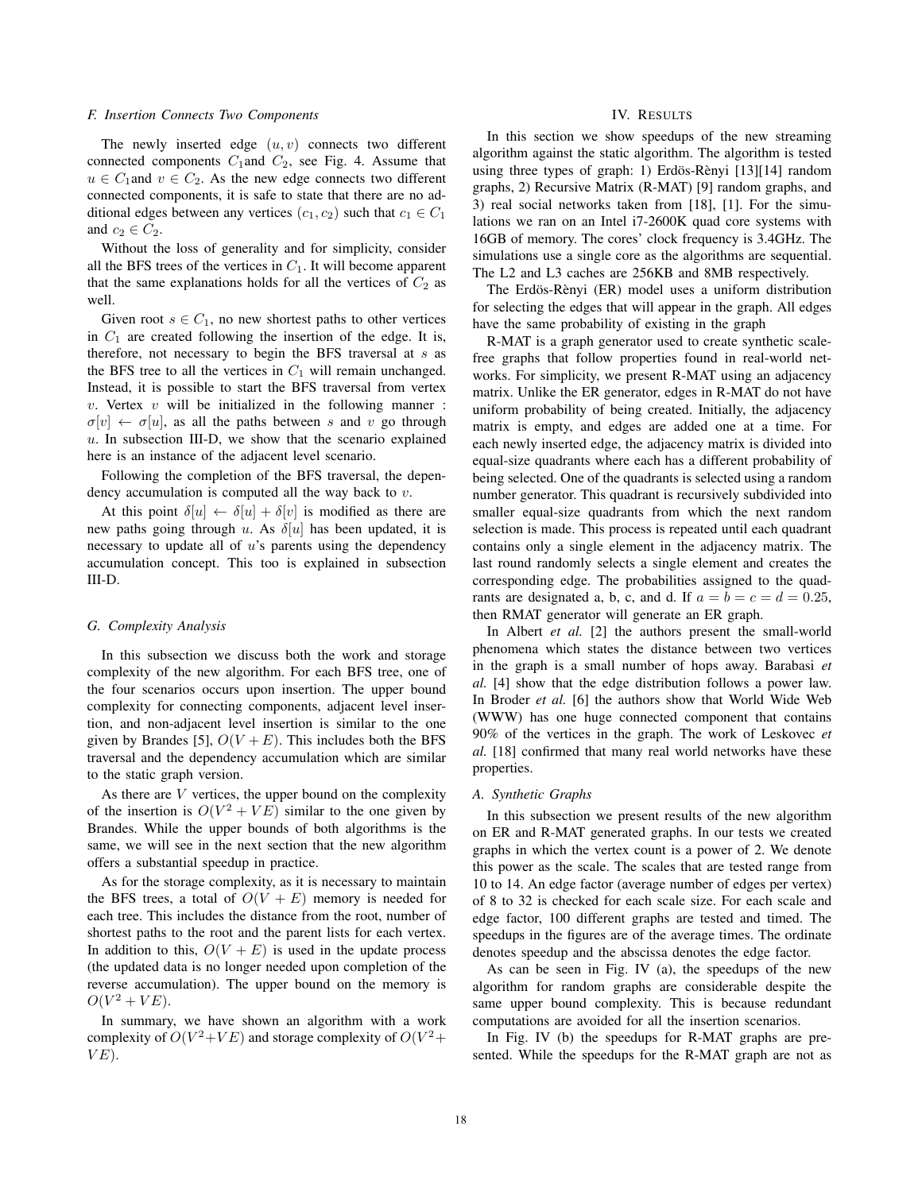# *F. Insertion Connects Two Components*

The newly inserted edge  $(u, v)$  connects two different connected components  $C_1$  and  $C_2$ , see Fig. 4. Assume that  $u \in C_1$  and  $v \in C_2$ . As the new edge connects two different connected components, it is safe to state that there are no additional edges between any vertices  $(c_1, c_2)$  such that  $c_1 \in C_1$ and  $c_2 \in C_2$ .

Without the loss of generality and for simplicity, consider all the BFS trees of the vertices in  $C_1$ . It will become apparent that the same explanations holds for all the vertices of  $C_2$  as well.

Given root  $s \in C_1$ , no new shortest paths to other vertices in  $C_1$  are created following the insertion of the edge. It is, therefore, not necessary to begin the BFS traversal at  $s$  as the BFS tree to all the vertices in  $C_1$  will remain unchanged. Instead, it is possible to start the BFS traversal from vertex  $v$ . Vertex  $v$  will be initialized in the following manner :  $\sigma[v] \leftarrow \sigma[u]$ , as all the paths between s and v go through  $u$ . In subsection III-D, we show that the scenario explained here is an instance of the adjacent level scenario.

Following the completion of the BFS traversal, the dependency accumulation is computed all the way back to v.

At this point  $\delta[u] \leftarrow \delta[u] + \delta[v]$  is modified as there are new paths going through u. As  $\delta[u]$  has been updated, it is necessary to update all of  $u$ 's parents using the dependency accumulation concept. This too is explained in subsection III-D.

#### *G. Complexity Analysis*

In this subsection we discuss both the work and storage complexity of the new algorithm. For each BFS tree, one of the four scenarios occurs upon insertion. The upper bound complexity for connecting components, adjacent level insertion, and non-adjacent level insertion is similar to the one given by Brandes [5],  $O(V + E)$ . This includes both the BFS traversal and the dependency accumulation which are similar to the static graph version.

As there are  $V$  vertices, the upper bound on the complexity of the insertion is  $O(V^2 + VE)$  similar to the one given by Brandes. While the upper bounds of both algorithms is the same, we will see in the next section that the new algorithm offers a substantial speedup in practice.

As for the storage complexity, as it is necessary to maintain the BFS trees, a total of  $O(V + E)$  memory is needed for each tree. This includes the distance from the root, number of shortest paths to the root and the parent lists for each vertex. In addition to this,  $O(V + E)$  is used in the update process (the updated data is no longer needed upon completion of the reverse accumulation). The upper bound on the memory is  $O(V^2 + VE)$ .

In summary, we have shown an algorithm with a work complexity of  $O(V^2+VE)$  and storage complexity of  $O(V^2+$  $VE$ ).

# IV. RESULTS

In this section we show speedups of the new streaming algorithm against the static algorithm. The algorithm is tested using three types of graph: 1) Erdös-Rènyi [13][14] random graphs, 2) Recursive Matrix (R-MAT) [9] random graphs, and 3) real social networks taken from [18], [1]. For the simulations we ran on an Intel i7-2600K quad core systems with 16GB of memory. The cores' clock frequency is 3.4GHz. The simulations use a single core as the algorithms are sequential. The L2 and L3 caches are 256KB and 8MB respectively.

The Erdös-Rènyi (ER) model uses a uniform distribution for selecting the edges that will appear in the graph. All edges have the same probability of existing in the graph

R-MAT is a graph generator used to create synthetic scalefree graphs that follow properties found in real-world networks. For simplicity, we present R-MAT using an adjacency matrix. Unlike the ER generator, edges in R-MAT do not have uniform probability of being created. Initially, the adjacency matrix is empty, and edges are added one at a time. For each newly inserted edge, the adjacency matrix is divided into equal-size quadrants where each has a different probability of being selected. One of the quadrants is selected using a random number generator. This quadrant is recursively subdivided into smaller equal-size quadrants from which the next random selection is made. This process is repeated until each quadrant contains only a single element in the adjacency matrix. The last round randomly selects a single element and creates the corresponding edge. The probabilities assigned to the quadrants are designated a, b, c, and d. If  $a = b = c = d = 0.25$ , then RMAT generator will generate an ER graph.

In Albert *et al.* [2] the authors present the small-world phenomena which states the distance between two vertices in the graph is a small number of hops away. Barabasi *et al.* [4] show that the edge distribution follows a power law. In Broder *et al.* [6] the authors show that World Wide Web (WWW) has one huge connected component that contains 90% of the vertices in the graph. The work of Leskovec *et al.* [18] confirmed that many real world networks have these properties.

## *A. Synthetic Graphs*

In this subsection we present results of the new algorithm on ER and R-MAT generated graphs. In our tests we created graphs in which the vertex count is a power of 2. We denote this power as the scale. The scales that are tested range from 10 to 14. An edge factor (average number of edges per vertex) of 8 to 32 is checked for each scale size. For each scale and edge factor, 100 different graphs are tested and timed. The speedups in the figures are of the average times. The ordinate denotes speedup and the abscissa denotes the edge factor.

As can be seen in Fig. IV (a), the speedups of the new algorithm for random graphs are considerable despite the same upper bound complexity. This is because redundant computations are avoided for all the insertion scenarios.

In Fig. IV (b) the speedups for R-MAT graphs are presented. While the speedups for the R-MAT graph are not as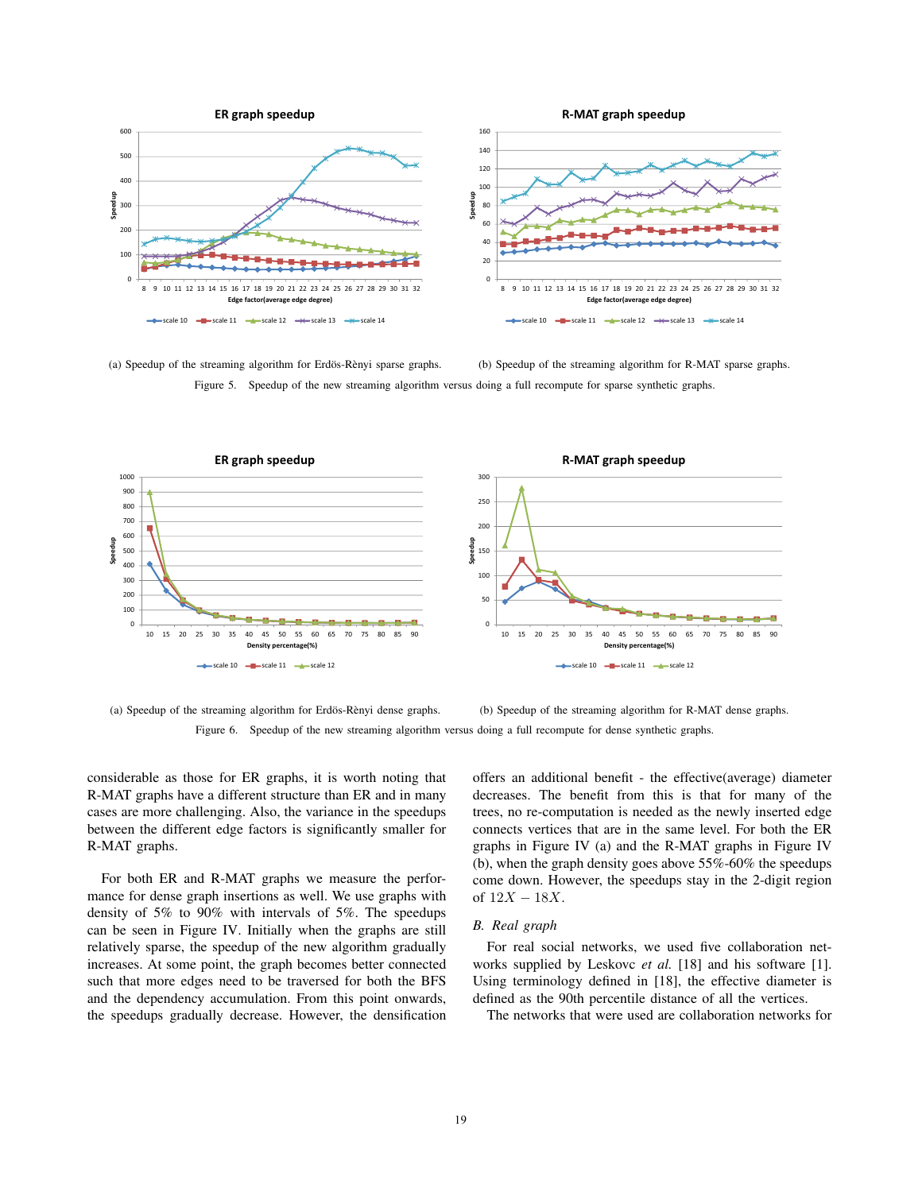

(a) Speedup of the streaming algorithm for Erdös-Rènyi sparse graphs. (b) Speedup of the streaming algorithm for R-MAT sparse graphs. Figure 5. Speedup of the new streaming algorithm versus doing a full recompute for sparse synthetic graphs.



(a) Speedup of the streaming algorithm for Erdös-Rènyi dense graphs. (b) Speedup of the streaming algorithm for R-MAT dense graphs. Figure 6. Speedup of the new streaming algorithm versus doing a full recompute for dense synthetic graphs.

considerable as those for ER graphs, it is worth noting that R-MAT graphs have a different structure than ER and in many cases are more challenging. Also, the variance in the speedups between the different edge factors is significantly smaller for R-MAT graphs.

For both ER and R-MAT graphs we measure the performance for dense graph insertions as well. We use graphs with density of 5% to 90% with intervals of 5%. The speedups can be seen in Figure IV. Initially when the graphs are still relatively sparse, the speedup of the new algorithm gradually increases. At some point, the graph becomes better connected such that more edges need to be traversed for both the BFS and the dependency accumulation. From this point onwards, the speedups gradually decrease. However, the densification

offers an additional benefit - the effective(average) diameter decreases. The benefit from this is that for many of the trees, no re-computation is needed as the newly inserted edge connects vertices that are in the same level. For both the ER graphs in Figure IV (a) and the R-MAT graphs in Figure IV (b), when the graph density goes above 55%-60% the speedups come down. However, the speedups stay in the 2-digit region of  $12X - 18X$ .

# *B. Real graph*

For real social networks, we used five collaboration networks supplied by Leskovc *et al.* [18] and his software [1]. Using terminology defined in [18], the effective diameter is defined as the 90th percentile distance of all the vertices.

The networks that were used are collaboration networks for